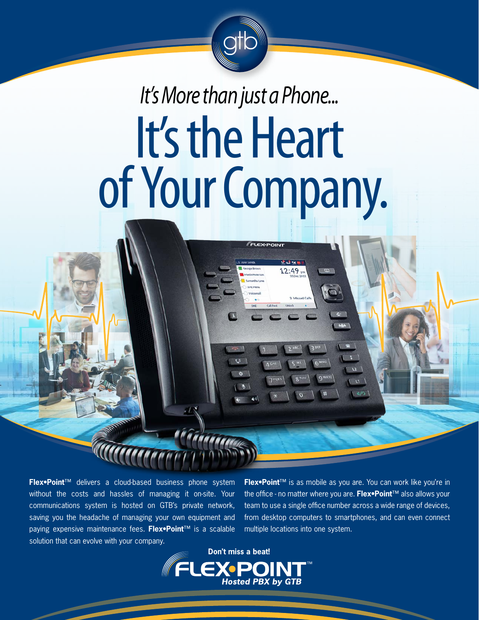

## *It's More than just a Phone...* It's the Heart of Your Company.

FLEX-POINT

 $\omega$ 

**Flex•Point**™ delivers a cloud-based business phone system without the costs and hassles of managing it on-site. Your communications system is hosted on GTB's private network, saving you the headache of managing your own equipment and paying expensive maintenance fees. **Flex•Point**™ is a scalable solution that can evolve with your company.

**Flex•Point**™ is as mobile as you are. You can work like you're in the office - no matter where you are. **Flex•Point**™ also allows your team to use a single office number across a wide range of devices, from desktop computers to smartphones, and can even connect multiple locations into one system.